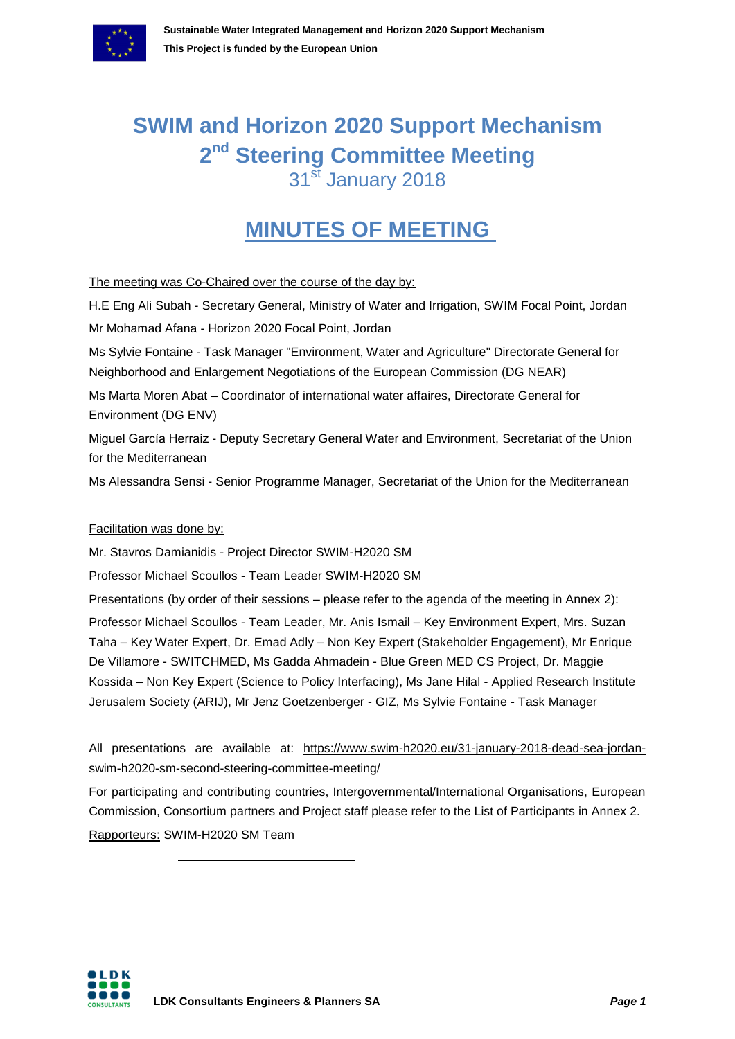

# **SWIM and Horizon 2020 Support Mechanism 2 nd Steering Committee Meeting** 31<sup>st</sup> January 2018

# **MINUTES OF MEETING**

The meeting was Co-Chaired over the course of the day by:

| H.E Eng Ali Subah - Secretary General, Ministry of Water and Irrigation, SWIM Focal Point, Jordan                                                                                |
|----------------------------------------------------------------------------------------------------------------------------------------------------------------------------------|
| Mr Mohamad Afana - Horizon 2020 Focal Point, Jordan                                                                                                                              |
| Ms Sylvie Fontaine - Task Manager "Environment, Water and Agriculture" Directorate General for<br>Neighborhood and Enlargement Negotiations of the European Commission (DG NEAR) |
| Ms Marta Moren Abat - Coordinator of international water affaires, Directorate General for<br>Environment (DG ENV)                                                               |
| Miguel García Herraiz - Deputy Secretary General Water and Environment, Secretariat of the Union<br>for the Mediterranean                                                        |
| Ms Alessandra Sensi - Senior Programme Manager, Secretariat of the Union for the Mediterranean                                                                                   |
| Facilitation was done by:                                                                                                                                                        |
| Mr. Stavros Damianidis - Project Director SWIM-H2020 SM                                                                                                                          |
|                                                                                                                                                                                  |

Professor Michael Scoullos - Team Leader SWIM-H2020 SM

Presentations (by order of their sessions – please refer to the agenda of the meeting in Annex 2): Professor Michael Scoullos - Team Leader, Mr. Anis Ismail – Key Environment Expert, Mrs. Suzan Taha – Key Water Expert, Dr. Emad Adly – Non Key Expert (Stakeholder Engagement), Mr Enrique De Villamore - SWITCHMED, Ms Gadda Ahmadein - Blue Green MED CS Project, Dr. Maggie Kossida – Non Key Expert (Science to Policy Interfacing), Ms Jane Hilal - Applied Research Institute Jerusalem Society (ARIJ), Mr Jenz Goetzenberger - GIZ, Ms Sylvie Fontaine - Task Manager

All presentations are available at: [https://www.swim-h2020.eu/31-january-2018-dead-sea-jordan](https://www.swim-h2020.eu/31-january-2018-dead-sea-jordan-swim-h2020-sm-second-steering-committee-meeting/)[swim-h2020-sm-second-steering-committee-meeting/](https://www.swim-h2020.eu/31-january-2018-dead-sea-jordan-swim-h2020-sm-second-steering-committee-meeting/)

For participating and contributing countries, Intergovernmental/International Organisations, European Commission, Consortium partners and Project staff please refer to the List of Participants in Annex 2. Rapporteurs: SWIM-H2020 SM Team

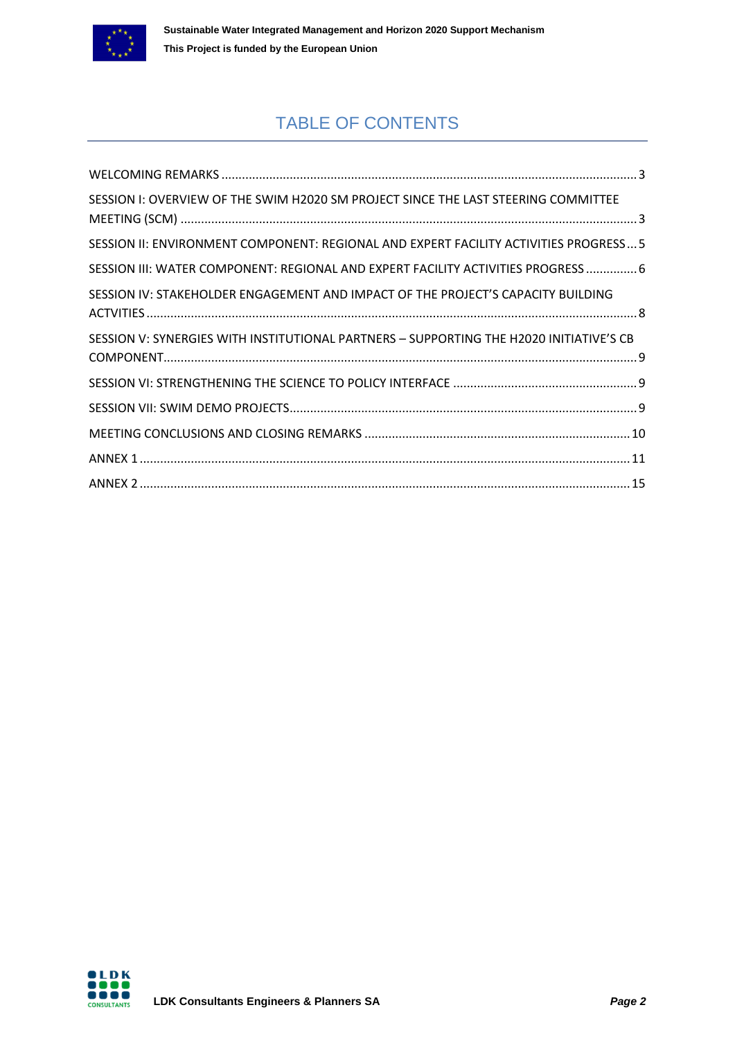

## TABLE OF CONTENTS

| SESSION I: OVERVIEW OF THE SWIM H2020 SM PROJECT SINCE THE LAST STEERING COMMITTEE      |
|-----------------------------------------------------------------------------------------|
| SESSION II: ENVIRONMENT COMPONENT: REGIONAL AND EXPERT FACILITY ACTIVITIES PROGRESS 5   |
| SESSION III: WATER COMPONENT: REGIONAL AND EXPERT FACILITY ACTIVITIES PROGRESS  6       |
| SESSION IV: STAKEHOLDER ENGAGEMENT AND IMPACT OF THE PROJECT'S CAPACITY BUILDING        |
| SESSION V: SYNERGIES WITH INSTITUTIONAL PARTNERS - SUPPORTING THE H2020 INITIATIVE'S CB |
|                                                                                         |
|                                                                                         |
|                                                                                         |
|                                                                                         |
|                                                                                         |

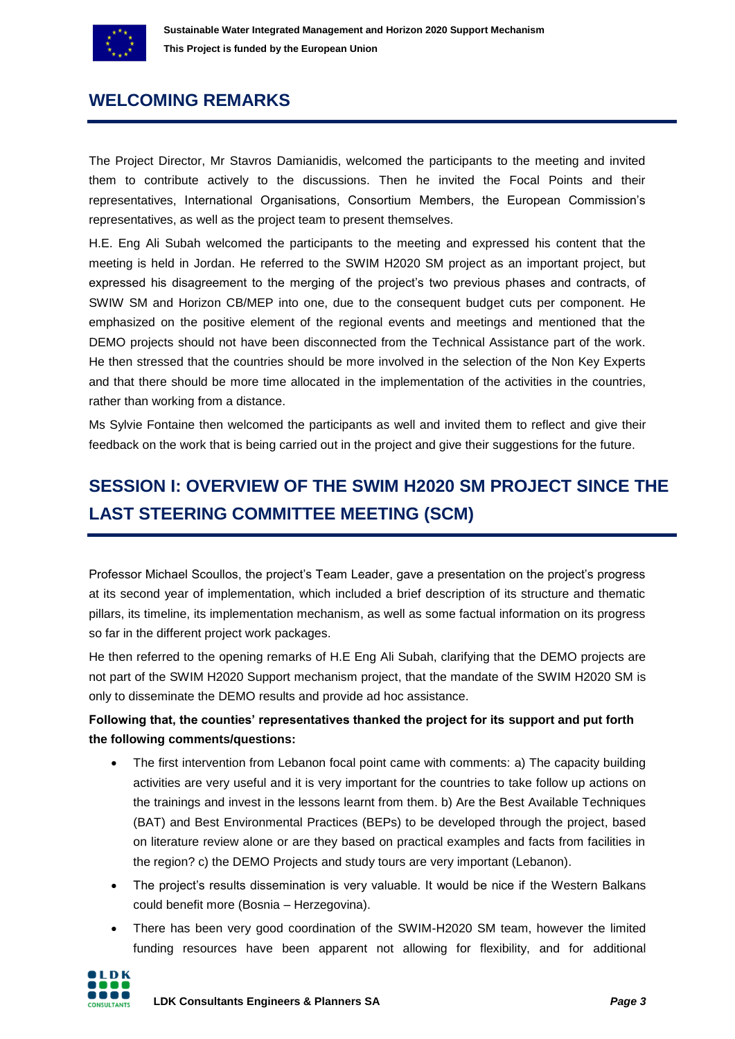

## <span id="page-2-0"></span>**WELCOMING REMARKS**

The Project Director, Mr Stavros Damianidis, welcomed the participants to the meeting and invited them to contribute actively to the discussions. Then he invited the Focal Points and their representatives, International Organisations, Consortium Members, the European Commission's representatives, as well as the project team to present themselves.

H.E. Eng Ali Subah welcomed the participants to the meeting and expressed his content that the meeting is held in Jordan. He referred to the SWIM H2020 SM project as an important project, but expressed his disagreement to the merging of the project's two previous phases and contracts, of SWIW SM and Horizon CB/MEP into one, due to the consequent budget cuts per component. He emphasized on the positive element of the regional events and meetings and mentioned that the DEMO projects should not have been disconnected from the Technical Assistance part of the work. He then stressed that the countries should be more involved in the selection of the Non Key Experts and that there should be more time allocated in the implementation of the activities in the countries, rather than working from a distance.

Ms Sylvie Fontaine then welcomed the participants as well and invited them to reflect and give their feedback on the work that is being carried out in the project and give their suggestions for the future.

## <span id="page-2-1"></span>**SESSION I: OVERVIEW OF THE SWIM H2020 SM PROJECT SINCE THE LAST STEERING COMMITTEE MEETING (SCM)**

Professor Michael Scoullos, the project's Team Leader, gave a presentation on the project's progress at its second year of implementation, which included a brief description of its structure and thematic pillars, its timeline, its implementation mechanism, as well as some factual information on its progress so far in the different project work packages.

He then referred to the opening remarks of H.E Eng Ali Subah, clarifying that the DEMO projects are not part of the SWIM H2020 Support mechanism project, that the mandate of the SWIM H2020 SM is only to disseminate the DEMO results and provide ad hoc assistance.

### **Following that, the counties' representatives thanked the project for its support and put forth the following comments/questions:**

- The first intervention from Lebanon focal point came with comments: a) The capacity building activities are very useful and it is very important for the countries to take follow up actions on the trainings and invest in the lessons learnt from them. b) Are the Best Available Techniques (BAT) and Best Environmental Practices (BEPs) to be developed through the project, based on literature review alone or are they based on practical examples and facts from facilities in the region? c) the DEMO Projects and study tours are very important (Lebanon).
- The project's results dissemination is very valuable. It would be nice if the Western Balkans could benefit more (Bosnia – Herzegovina).
- There has been very good coordination of the SWIM-H2020 SM team, however the limited funding resources have been apparent not allowing for flexibility, and for additional

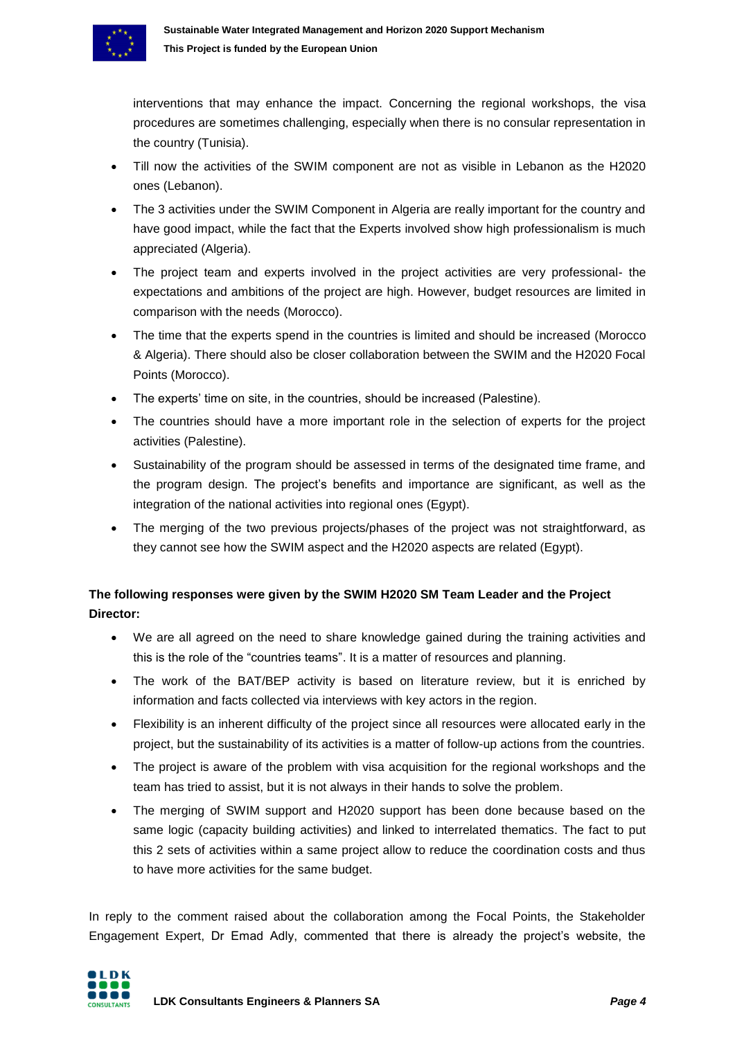

interventions that may enhance the impact. Concerning the regional workshops, the visa procedures are sometimes challenging, especially when there is no consular representation in the country (Tunisia).

- Till now the activities of the SWIM component are not as visible in Lebanon as the H2020 ones (Lebanon).
- The 3 activities under the SWIM Component in Algeria are really important for the country and have good impact, while the fact that the Experts involved show high professionalism is much appreciated (Algeria).
- The project team and experts involved in the project activities are very professional- the expectations and ambitions of the project are high. However, budget resources are limited in comparison with the needs (Morocco).
- The time that the experts spend in the countries is limited and should be increased (Morocco & Algeria). There should also be closer collaboration between the SWIM and the H2020 Focal Points (Morocco).
- The experts' time on site, in the countries, should be increased (Palestine).
- The countries should have a more important role in the selection of experts for the project activities (Palestine).
- Sustainability of the program should be assessed in terms of the designated time frame, and the program design. The project's benefits and importance are significant, as well as the integration of the national activities into regional ones (Egypt).
- The merging of the two previous projects/phases of the project was not straightforward, as they cannot see how the SWIM aspect and the H2020 aspects are related (Egypt).

### **The following responses were given by the SWIM H2020 SM Team Leader and the Project Director:**

- We are all agreed on the need to share knowledge gained during the training activities and this is the role of the "countries teams". It is a matter of resources and planning.
- The work of the BAT/BEP activity is based on literature review, but it is enriched by information and facts collected via interviews with key actors in the region.
- Flexibility is an inherent difficulty of the project since all resources were allocated early in the project, but the sustainability of its activities is a matter of follow-up actions from the countries.
- The project is aware of the problem with visa acquisition for the regional workshops and the team has tried to assist, but it is not always in their hands to solve the problem.
- The merging of SWIM support and H2020 support has been done because based on the same logic (capacity building activities) and linked to interrelated thematics. The fact to put this 2 sets of activities within a same project allow to reduce the coordination costs and thus to have more activities for the same budget.

In reply to the comment raised about the collaboration among the Focal Points, the Stakeholder Engagement Expert, Dr Emad Adly, commented that there is already the project's website, the

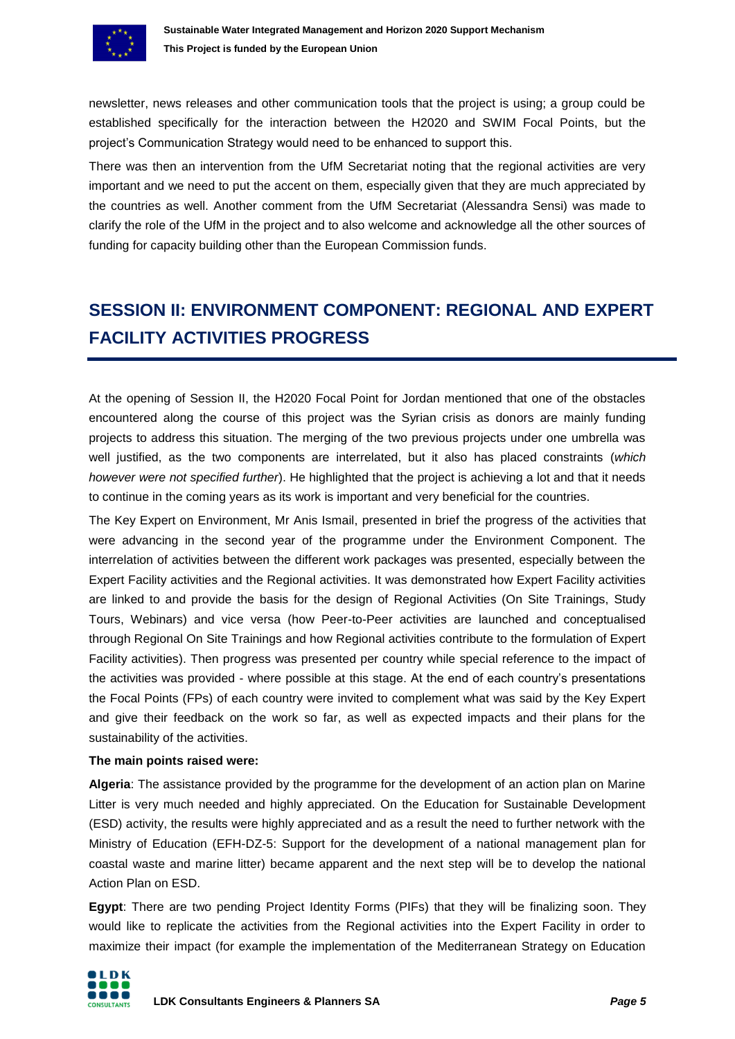

newsletter, news releases and other communication tools that the project is using; a group could be established specifically for the interaction between the H2020 and SWIM Focal Points, but the project's Communication Strategy would need to be enhanced to support this.

There was then an intervention from the UfM Secretariat noting that the regional activities are very important and we need to put the accent on them, especially given that they are much appreciated by the countries as well. Another comment from the UfM Secretariat (Alessandra Sensi) was made to clarify the role of the UfM in the project and to also welcome and acknowledge all the other sources of funding for capacity building other than the European Commission funds.

# <span id="page-4-0"></span>**SESSION II: ENVIRONMENT COMPONENT: REGIONAL AND EXPERT FACILITY ACTIVITIES PROGRESS**

At the opening of Session II, the H2020 Focal Point for Jordan mentioned that one of the obstacles encountered along the course of this project was the Syrian crisis as donors are mainly funding projects to address this situation. The merging of the two previous projects under one umbrella was well justified, as the two components are interrelated, but it also has placed constraints (*which however were not specified further*). He highlighted that the project is achieving a lot and that it needs to continue in the coming years as its work is important and very beneficial for the countries.

The Key Expert on Environment, Mr Anis Ismail, presented in brief the progress of the activities that were advancing in the second year of the programme under the Environment Component. The interrelation of activities between the different work packages was presented, especially between the Expert Facility activities and the Regional activities. It was demonstrated how Expert Facility activities are linked to and provide the basis for the design of Regional Activities (On Site Trainings, Study Tours, Webinars) and vice versa (how Peer-to-Peer activities are launched and conceptualised through Regional On Site Trainings and how Regional activities contribute to the formulation of Expert Facility activities). Then progress was presented per country while special reference to the impact of the activities was provided - where possible at this stage. At the end of each country's presentations the Focal Points (FPs) of each country were invited to complement what was said by the Key Expert and give their feedback on the work so far, as well as expected impacts and their plans for the sustainability of the activities.

#### **The main points raised were:**

**Algeria**: The assistance provided by the programme for the development of an action plan on Marine Litter is very much needed and highly appreciated. On the Education for Sustainable Development (ESD) activity, the results were highly appreciated and as a result the need to further network with the Ministry of Education (EFH-DZ-5: Support for the development of a national management plan for coastal waste and marine litter) became apparent and the next step will be to develop the national Action Plan on ESD.

**Egypt**: There are two pending Project Identity Forms (PIFs) that they will be finalizing soon. They would like to replicate the activities from the Regional activities into the Expert Facility in order to maximize their impact (for example the implementation of the Mediterranean Strategy on Education

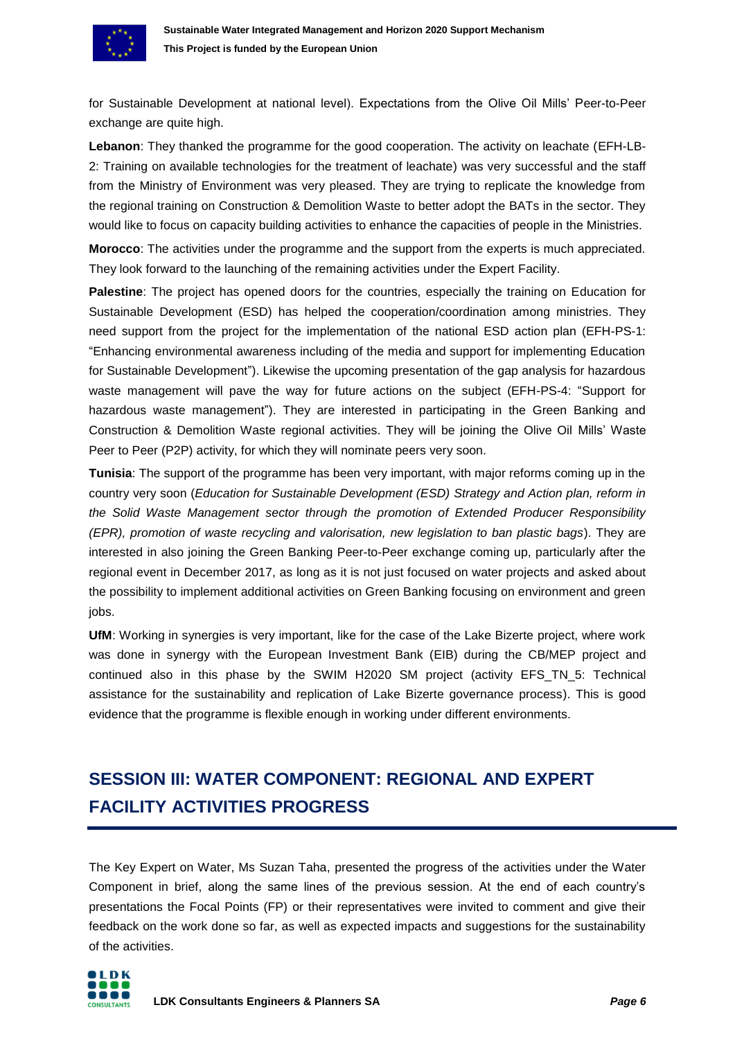

for Sustainable Development at national level). Expectations from the Olive Oil Mills' Peer-to-Peer exchange are quite high.

**Lebanon**: They thanked the programme for the good cooperation. The activity on leachate (EFH-LB-2: Training on available technologies for the treatment of leachate) was very successful and the staff from the Ministry of Environment was very pleased. They are trying to replicate the knowledge from the regional training on Construction & Demolition Waste to better adopt the BATs in the sector. They would like to focus on capacity building activities to enhance the capacities of people in the Ministries.

**Morocco**: The activities under the programme and the support from the experts is much appreciated. They look forward to the launching of the remaining activities under the Expert Facility.

**Palestine**: The project has opened doors for the countries, especially the training on Education for Sustainable Development (ESD) has helped the cooperation/coordination among ministries. They need support from the project for the implementation of the national ESD action plan (EFH-PS-1: "Enhancing environmental awareness including of the media and support for implementing Education for Sustainable Development"). Likewise the upcoming presentation of the gap analysis for hazardous waste management will pave the way for future actions on the subject (EFH-PS-4: "Support for hazardous waste management"). They are interested in participating in the Green Banking and Construction & Demolition Waste regional activities. They will be joining the Olive Oil Mills' Waste Peer to Peer (P2P) activity, for which they will nominate peers very soon.

**Tunisia**: The support of the programme has been very important, with major reforms coming up in the country very soon (*Education for Sustainable Development (ESD) Strategy and Action plan, reform in the Solid Waste Management sector through the promotion of Extended Producer Responsibility (EPR), promotion of waste recycling and valorisation, new legislation to ban plastic bags*). They are interested in also joining the Green Banking Peer-to-Peer exchange coming up, particularly after the regional event in December 2017, as long as it is not just focused on water projects and asked about the possibility to implement additional activities on Green Banking focusing on environment and green jobs.

**UfM**: Working in synergies is very important, like for the case of the Lake Bizerte project, where work was done in synergy with the European Investment Bank (EIB) during the CB/MEP project and continued also in this phase by the SWIM H2020 SM project (activity EFS\_TN\_5: Technical assistance for the sustainability and replication of Lake Bizerte governance process). This is good evidence that the programme is flexible enough in working under different environments.

## <span id="page-5-0"></span>**SESSION III: WATER COMPONENT: REGIONAL AND EXPERT FACILITY ACTIVITIES PROGRESS**

The Key Expert on Water, Ms Suzan Taha, presented the progress of the activities under the Water Component in brief, along the same lines of the previous session. At the end of each country's presentations the Focal Points (FP) or their representatives were invited to comment and give their feedback on the work done so far, as well as expected impacts and suggestions for the sustainability of the activities.

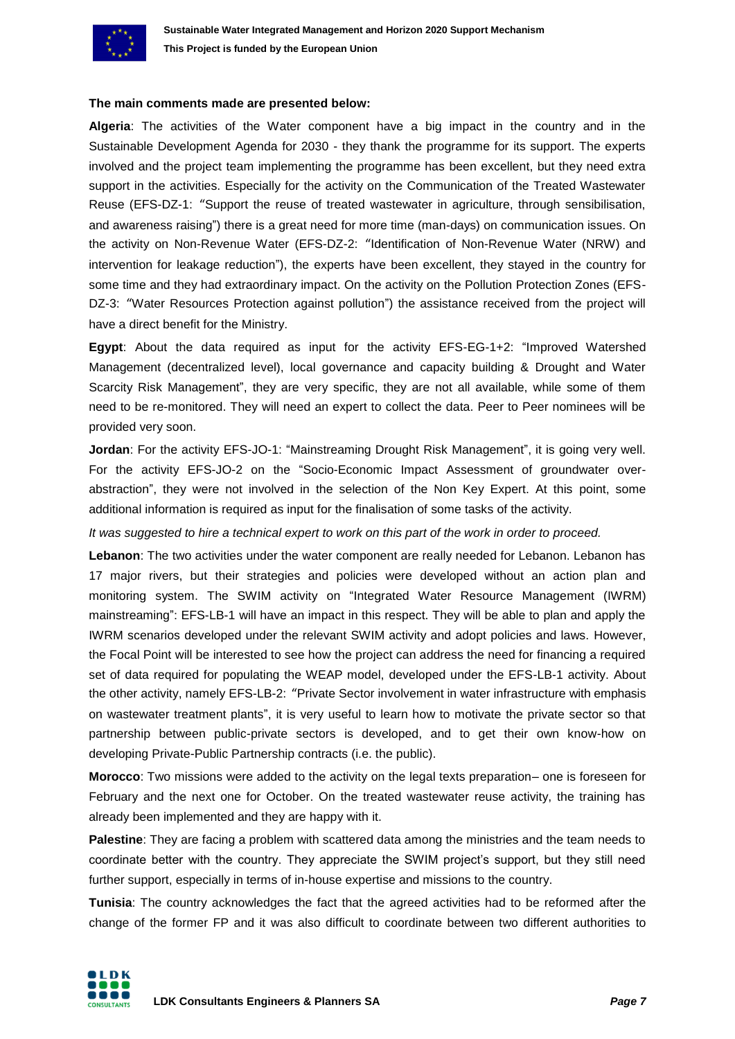

#### **The main comments made are presented below:**

**Algeria**: The activities of the Water component have a big impact in the country and in the Sustainable Development Agenda for 2030 - they thank the programme for its support. The experts involved and the project team implementing the programme has been excellent, but they need extra support in the activities. Especially for the activity on the Communication of the Treated Wastewater Reuse (EFS-DZ-1: "Support the reuse of treated wastewater in agriculture, through sensibilisation, and awareness raising") there is a great need for more time (man-days) on communication issues. On the activity on Non-Revenue Water (EFS-DZ-2: "Identification of Non-Revenue Water (NRW) and intervention for leakage reduction"), the experts have been excellent, they stayed in the country for some time and they had extraordinary impact. On the activity on the Pollution Protection Zones (EFS-DZ-3: "Water Resources Protection against pollution") the assistance received from the project will have a direct benefit for the Ministry.

**Egypt**: About the data required as input for the activity EFS-EG-1+2: "Improved Watershed Management (decentralized level), local governance and capacity building & Drought and Water Scarcity Risk Management", they are very specific, they are not all available, while some of them need to be re-monitored. They will need an expert to collect the data. Peer to Peer nominees will be provided very soon.

**Jordan**: For the activity EFS-JO-1: "Mainstreaming Drought Risk Management", it is going very well. For the activity EFS-JO-2 on the "Socio-Economic Impact Assessment of groundwater overabstraction", they were not involved in the selection of the Non Key Expert. At this point, some additional information is required as input for the finalisation of some tasks of the activity.

*It was suggested to hire a technical expert to work on this part of the work in order to proceed.* 

**Lebanon**: The two activities under the water component are really needed for Lebanon. Lebanon has 17 major rivers, but their strategies and policies were developed without an action plan and monitoring system. The SWIM activity on "Integrated Water Resource Management (IWRM) mainstreaming": EFS-LB-1 will have an impact in this respect. They will be able to plan and apply the IWRM scenarios developed under the relevant SWIM activity and adopt policies and laws. However, the Focal Point will be interested to see how the project can address the need for financing a required set of data required for populating the WEAP model, developed under the EFS-LB-1 activity. About the other activity, namely EFS-LB-2: "Private Sector involvement in water infrastructure with emphasis on wastewater treatment plants", it is very useful to learn how to motivate the private sector so that partnership between public-private sectors is developed, and to get their own know-how on developing Private-Public Partnership contracts (i.e. the public).

**Morocco**: Two missions were added to the activity on the legal texts preparation– one is foreseen for February and the next one for October. On the treated wastewater reuse activity, the training has already been implemented and they are happy with it.

**Palestine**: They are facing a problem with scattered data among the ministries and the team needs to coordinate better with the country. They appreciate the SWIM project's support, but they still need further support, especially in terms of in-house expertise and missions to the country.

**Tunisia**: The country acknowledges the fact that the agreed activities had to be reformed after the change of the former FP and it was also difficult to coordinate between two different authorities to

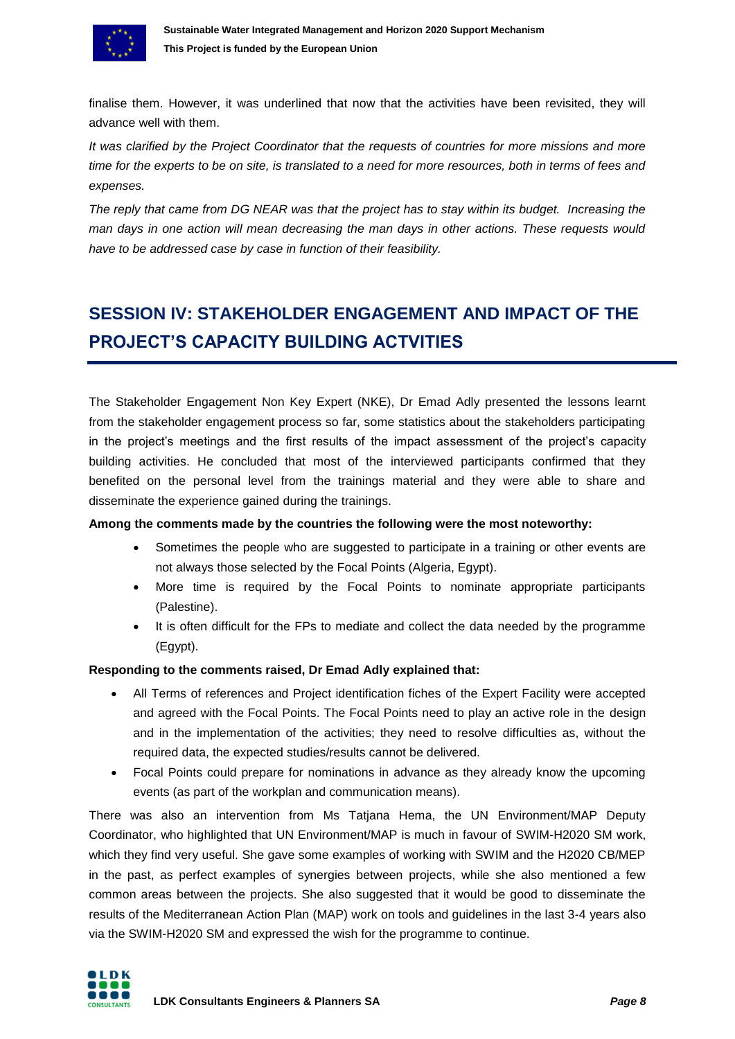

finalise them. However, it was underlined that now that the activities have been revisited, they will advance well with them.

*It was clarified by the Project Coordinator that the requests of countries for more missions and more time for the experts to be on site, is translated to a need for more resources, both in terms of fees and expenses.* 

*The reply that came from DG NEAR was that the project has to stay within its budget. Increasing the man days in one action will mean decreasing the man days in other actions. These requests would have to be addressed case by case in function of their feasibility.*

# <span id="page-7-0"></span>**SESSION IV: STAKEHOLDER ENGAGEMENT AND IMPACT OF THE PROJECT'S CAPACITY BUILDING ACTVITIES**

The Stakeholder Engagement Non Key Expert (NKE), Dr Emad Adly presented the lessons learnt from the stakeholder engagement process so far, some statistics about the stakeholders participating in the project's meetings and the first results of the impact assessment of the project's capacity building activities. He concluded that most of the interviewed participants confirmed that they benefited on the personal level from the trainings material and they were able to share and disseminate the experience gained during the trainings.

#### **Among the comments made by the countries the following were the most noteworthy:**

- Sometimes the people who are suggested to participate in a training or other events are not always those selected by the Focal Points (Algeria, Egypt).
- More time is required by the Focal Points to nominate appropriate participants (Palestine).
- It is often difficult for the FPs to mediate and collect the data needed by the programme (Egypt).

#### **Responding to the comments raised, Dr Emad Adly explained that:**

- All Terms of references and Project identification fiches of the Expert Facility were accepted and agreed with the Focal Points. The Focal Points need to play an active role in the design and in the implementation of the activities; they need to resolve difficulties as, without the required data, the expected studies/results cannot be delivered.
- Focal Points could prepare for nominations in advance as they already know the upcoming events (as part of the workplan and communication means).

There was also an intervention from Ms Tatjana Hema, the UN Environment/MAP Deputy Coordinator, who highlighted that UN Environment/MAP is much in favour of SWIM-H2020 SM work, which they find very useful. She gave some examples of working with SWIM and the H2020 CB/MEP in the past, as perfect examples of synergies between projects, while she also mentioned a few common areas between the projects. She also suggested that it would be good to disseminate the results of the Mediterranean Action Plan (MAP) work on tools and guidelines in the last 3-4 years also via the SWIM-H2020 SM and expressed the wish for the programme to continue.

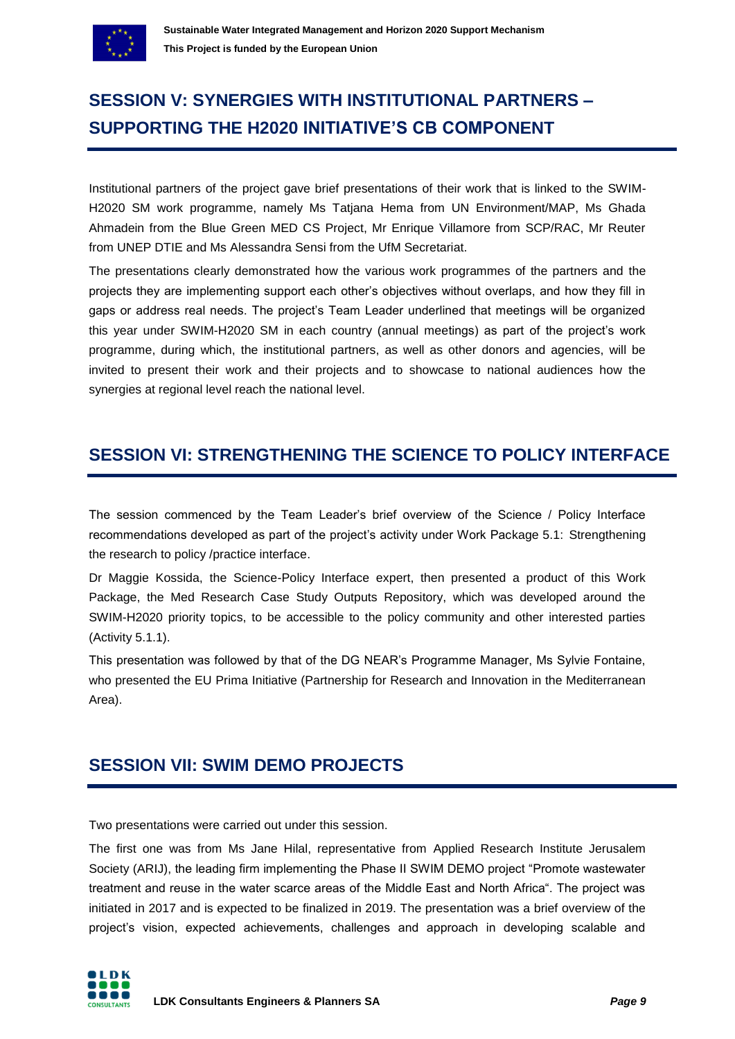

# <span id="page-8-0"></span>**SESSION V: SYNERGIES WITH INSTITUTIONAL PARTNERS – SUPPORTING THE H2020 INITIATIVE'S CB COMPONENT**

Institutional partners of the project gave brief presentations of their work that is linked to the SWIM-H2020 SM work programme, namely Ms Tatjana Hema from UN Environment/MAP, Ms Ghada Ahmadein from the Blue Green MED CS Project, Mr Enrique Villamore from SCP/RAC, Mr Reuter from UNEP DTIE and Ms Alessandra Sensi from the UfM Secretariat.

The presentations clearly demonstrated how the various work programmes of the partners and the projects they are implementing support each other's objectives without overlaps, and how they fill in gaps or address real needs. The project's Team Leader underlined that meetings will be organized this year under SWIM-H2020 SM in each country (annual meetings) as part of the project's work programme, during which, the institutional partners, as well as other donors and agencies, will be invited to present their work and their projects and to showcase to national audiences how the synergies at regional level reach the national level.

## <span id="page-8-1"></span>**SESSION VI: STRENGTHENING THE SCIENCE TO POLICY INTERFACE**

The session commenced by the Team Leader's brief overview of the Science / Policy Interface recommendations developed as part of the project's activity under Work Package 5.1: Strengthening the research to policy /practice interface.

Dr Maggie Kossida, the Science-Policy Interface expert, then presented a product of this Work Package, the Med Research Case Study Outputs Repository, which was developed around the SWIM-H2020 priority topics, to be accessible to the policy community and other interested parties (Activity 5.1.1).

This presentation was followed by that of the DG NEAR's Programme Manager, Ms Sylvie Fontaine, who presented the EU Prima Initiative (Partnership for Research and Innovation in the Mediterranean Area).

## <span id="page-8-2"></span>**SESSION VII: SWIM DEMO PROJECTS**

Two presentations were carried out under this session.

The first one was from Ms Jane Hilal, representative from Applied Research Institute Jerusalem Society (ARIJ), the leading firm implementing the Phase II SWIM DEMO project "Promote wastewater treatment and reuse in the water scarce areas of the Middle East and North Africa". The project was initiated in 2017 and is expected to be finalized in 2019. The presentation was a brief overview of the project's vision, expected achievements, challenges and approach in developing scalable and

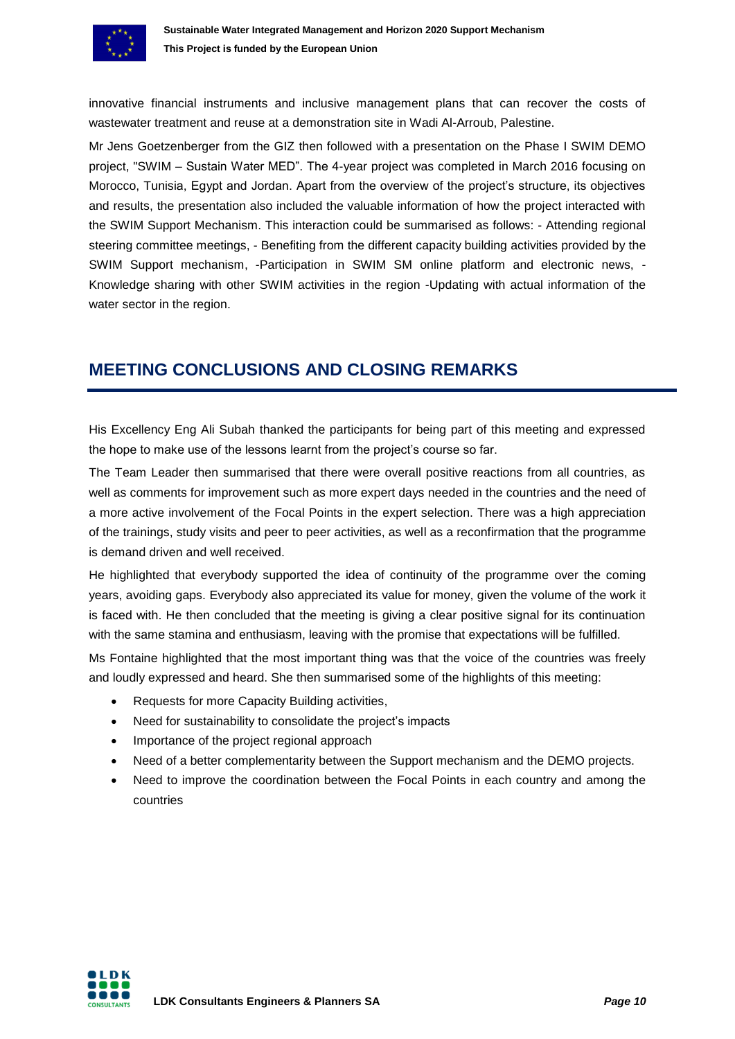

innovative financial instruments and inclusive management plans that can recover the costs of wastewater treatment and reuse at a demonstration site in Wadi Al-Arroub, Palestine.

Mr Jens Goetzenberger from the GIZ then followed with a presentation on the Phase I SWIM DEMO project, "SWIM – Sustain Water MED". The 4-year project was completed in March 2016 focusing on Morocco, Tunisia, Egypt and Jordan. Apart from the overview of the project's structure, its objectives and results, the presentation also included the valuable information of how the project interacted with the SWIM Support Mechanism. This interaction could be summarised as follows: - Attending regional steering committee meetings, - Benefiting from the different capacity building activities provided by the SWIM Support mechanism, -Participation in SWIM SM online platform and electronic news, - Knowledge sharing with other SWIM activities in the region -Updating with actual information of the water sector in the region.

## <span id="page-9-0"></span>**MEETING CONCLUSIONS AND CLOSING REMARKS**

His Excellency Eng Ali Subah thanked the participants for being part of this meeting and expressed the hope to make use of the lessons learnt from the project's course so far.

The Team Leader then summarised that there were overall positive reactions from all countries, as well as comments for improvement such as more expert days needed in the countries and the need of a more active involvement of the Focal Points in the expert selection. There was a high appreciation of the trainings, study visits and peer to peer activities, as well as a reconfirmation that the programme is demand driven and well received.

He highlighted that everybody supported the idea of continuity of the programme over the coming years, avoiding gaps. Everybody also appreciated its value for money, given the volume of the work it is faced with. He then concluded that the meeting is giving a clear positive signal for its continuation with the same stamina and enthusiasm, leaving with the promise that expectations will be fulfilled.

Ms Fontaine highlighted that the most important thing was that the voice of the countries was freely and loudly expressed and heard. She then summarised some of the highlights of this meeting:

- Requests for more Capacity Building activities,
- Need for sustainability to consolidate the project's impacts
- Importance of the project regional approach
- Need of a better complementarity between the Support mechanism and the DEMO projects.
- Need to improve the coordination between the Focal Points in each country and among the countries

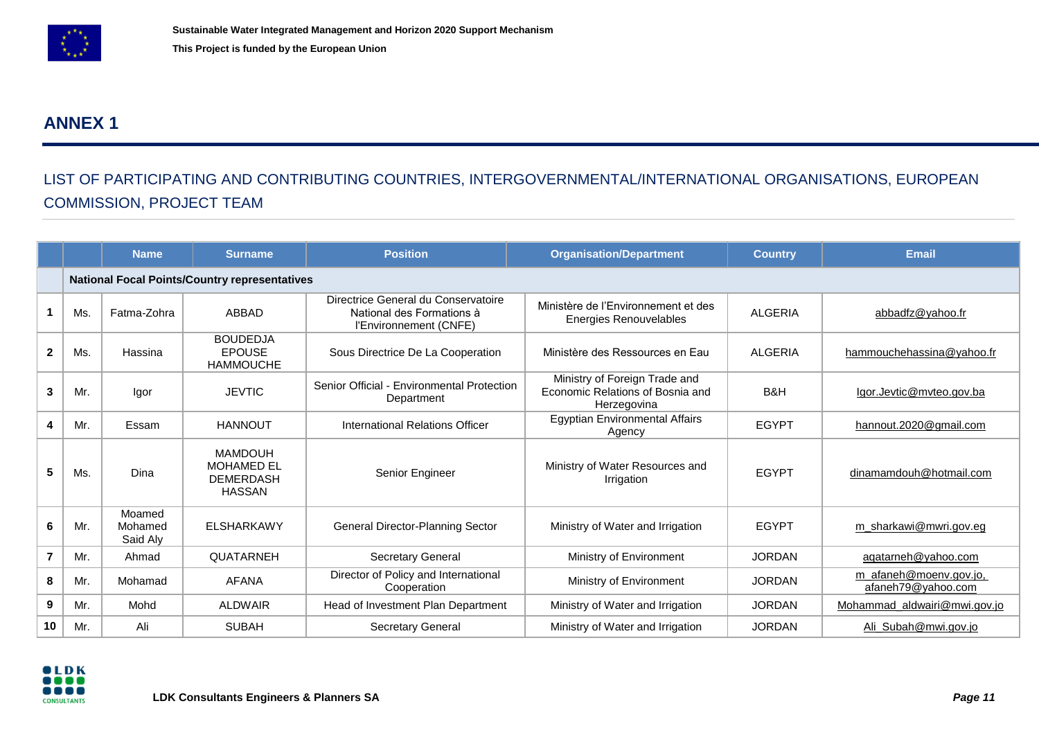

## **ANNEX 1**

## LIST OF PARTICIPATING AND CONTRIBUTING COUNTRIES, INTERGOVERNMENTAL/INTERNATIONAL ORGANISATIONS, EUROPEAN COMMISSION, PROJECT TEAM

<span id="page-10-0"></span>

|                |     | <b>Name</b>                                          | <b>Surname</b>                                                           | <b>Position</b>                                                                            | <b>Organisation/Department</b>                                                   | <b>Country</b> | <b>Email</b>                                 |  |
|----------------|-----|------------------------------------------------------|--------------------------------------------------------------------------|--------------------------------------------------------------------------------------------|----------------------------------------------------------------------------------|----------------|----------------------------------------------|--|
|                |     | <b>National Focal Points/Country representatives</b> |                                                                          |                                                                                            |                                                                                  |                |                                              |  |
|                | Ms. | Fatma-Zohra                                          | ABBAD                                                                    | Directrice General du Conservatoire<br>National des Formations à<br>l'Environnement (CNFE) | Ministère de l'Environnement et des<br><b>Energies Renouvelables</b>             | <b>ALGERIA</b> | abbadfz@yahoo.fr                             |  |
| $\overline{2}$ | Ms. | Hassina                                              | <b>BOUDEDJA</b><br><b>EPOUSE</b><br><b>HAMMOUCHE</b>                     | Sous Directrice De La Cooperation                                                          | Ministère des Ressources en Eau                                                  | <b>ALGERIA</b> | hammouchehassina@yahoo.fr                    |  |
| 3              | Mr. | Igor                                                 | <b>JEVTIC</b>                                                            | Senior Official - Environmental Protection<br>Department                                   | Ministry of Foreign Trade and<br>Economic Relations of Bosnia and<br>Herzegovina | B&H            | lgor.Jevtic@mvteo.gov.ba                     |  |
| 4              | Mr. | Essam                                                | <b>HANNOUT</b>                                                           | International Relations Officer                                                            | Egyptian Environmental Affairs<br>Agency                                         | <b>EGYPT</b>   | hannout.2020@gmail.com                       |  |
| 5              | Ms. | Dina                                                 | <b>MAMDOUH</b><br><b>MOHAMED EL</b><br><b>DEMERDASH</b><br><b>HASSAN</b> | Senior Engineer                                                                            | Ministry of Water Resources and<br>Irrigation                                    | <b>EGYPT</b>   | dinamamdouh@hotmail.com                      |  |
| 6              | Mr. | Moamed<br>Mohamed<br>Said Aly                        | <b>ELSHARKAWY</b>                                                        | General Director-Planning Sector                                                           | Ministry of Water and Irrigation                                                 | <b>EGYPT</b>   | m sharkawi@mwri.gov.eg                       |  |
| $\overline{7}$ | Mr. | Ahmad                                                | <b>QUATARNEH</b>                                                         | Secretary General                                                                          | Ministry of Environment                                                          | <b>JORDAN</b>  | aqatarneh@yahoo.com                          |  |
| 8              | Mr. | Mohamad                                              | AFANA                                                                    | Director of Policy and International<br>Cooperation                                        | Ministry of Environment                                                          | <b>JORDAN</b>  | m_afaneh@moenv.gov.jo,<br>afaneh79@yahoo.com |  |
| 9              | Mr. | Mohd                                                 | <b>ALDWAIR</b>                                                           | Head of Investment Plan Department                                                         | Ministry of Water and Irrigation                                                 | <b>JORDAN</b>  | Mohammad aldwairi@mwi.gov.jo                 |  |
| 10             | Mr. | Ali                                                  | <b>SUBAH</b>                                                             | <b>Secretary General</b>                                                                   | Ministry of Water and Irrigation                                                 | <b>JORDAN</b>  | Ali_Subah@mwi.gov.jo                         |  |

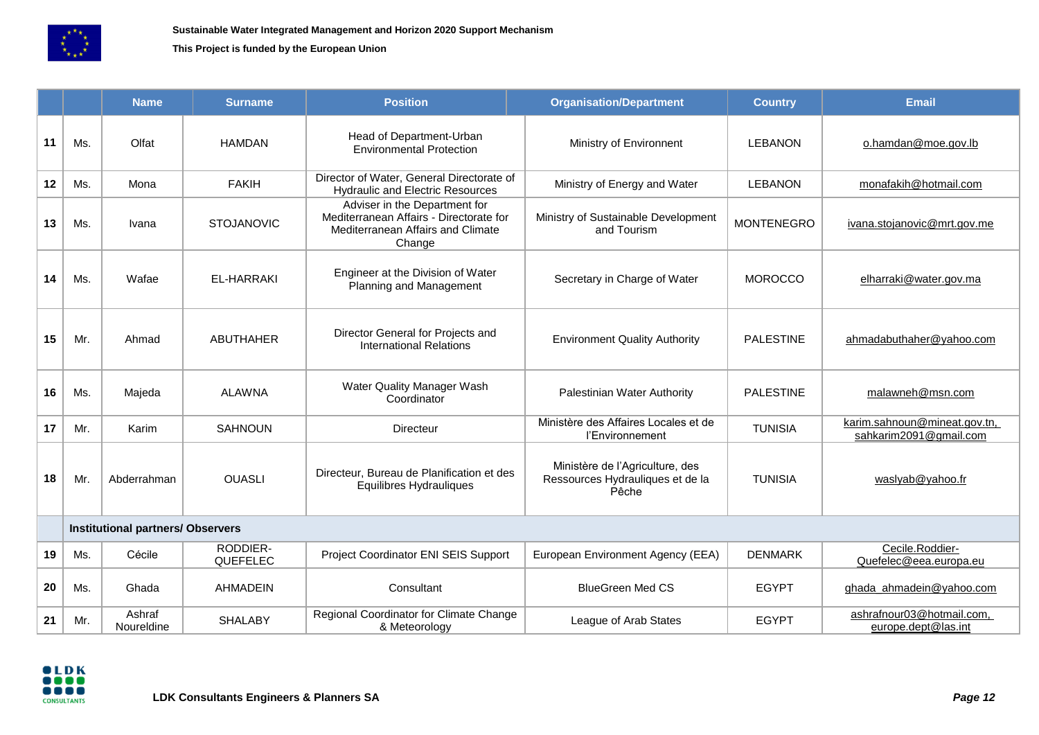

#### **This Project is funded by the European Union**

|    |                                          | <b>Name</b>          | <b>Surname</b>       | <b>Position</b>                                                                                                         | <b>Organisation/Department</b>                                               | <b>Country</b>    | <b>Email</b>                                           |  |
|----|------------------------------------------|----------------------|----------------------|-------------------------------------------------------------------------------------------------------------------------|------------------------------------------------------------------------------|-------------------|--------------------------------------------------------|--|
| 11 | Ms.                                      | Olfat                | <b>HAMDAN</b>        | Head of Department-Urban<br><b>Environmental Protection</b>                                                             | Ministry of Environnent                                                      | <b>LEBANON</b>    | o.hamdan@moe.gov.lb                                    |  |
| 12 | Ms.                                      | Mona                 | <b>FAKIH</b>         | Director of Water, General Directorate of<br><b>Hydraulic and Electric Resources</b>                                    | Ministry of Energy and Water                                                 | <b>LEBANON</b>    | monafakih@hotmail.com                                  |  |
| 13 | Ms.                                      | Ivana                | <b>STOJANOVIC</b>    | Adviser in the Department for<br>Mediterranean Affairs - Directorate for<br>Mediterranean Affairs and Climate<br>Change | Ministry of Sustainable Development<br>and Tourism                           | <b>MONTENEGRO</b> | ivana.stojanovic@mrt.gov.me                            |  |
| 14 | Ms.                                      | Wafae                | EL-HARRAKI           | Engineer at the Division of Water<br>Planning and Management                                                            | Secretary in Charge of Water                                                 | <b>MOROCCO</b>    | elharraki@water.gov.ma                                 |  |
| 15 | Mr.                                      | Ahmad                | <b>ABUTHAHER</b>     | Director General for Projects and<br><b>International Relations</b>                                                     | <b>Environment Quality Authority</b>                                         | <b>PALESTINE</b>  | ahmadabuthaher@yahoo.com                               |  |
| 16 | Ms.                                      | Majeda               | <b>ALAWNA</b>        | Water Quality Manager Wash<br>Coordinator                                                                               | Palestinian Water Authority                                                  | <b>PALESTINE</b>  | malawneh@msn.com                                       |  |
| 17 | Mr.                                      | Karim                | <b>SAHNOUN</b>       | <b>Directeur</b>                                                                                                        | Ministère des Affaires Locales et de<br>l'Environnement                      | <b>TUNISIA</b>    | karim.sahnoun@mineat.gov.tn,<br>sahkarim2091@gmail.com |  |
| 18 | Mr.                                      | Abderrahman          | <b>OUASLI</b>        | Directeur, Bureau de Planification et des<br>Equilibres Hydrauliques                                                    | Ministère de l'Agriculture, des<br>Ressources Hydrauliques et de la<br>Pêche | <b>TUNISIA</b>    | waslyab@yahoo.fr                                       |  |
|    | <b>Institutional partners/ Observers</b> |                      |                      |                                                                                                                         |                                                                              |                   |                                                        |  |
| 19 | Ms.                                      | Cécile               | RODDIER-<br>QUEFELEC | Project Coordinator ENI SEIS Support                                                                                    | European Environment Agency (EEA)                                            | <b>DENMARK</b>    | Cecile.Roddier-<br>Quefelec@eea.europa.eu              |  |
| 20 | Ms.                                      | Ghada                | <b>AHMADEIN</b>      | Consultant                                                                                                              | <b>BlueGreen Med CS</b>                                                      | <b>EGYPT</b>      | ghada_ahmadein@yahoo.com                               |  |
| 21 | Mr.                                      | Ashraf<br>Noureldine | <b>SHALABY</b>       | Regional Coordinator for Climate Change<br>& Meteorology                                                                | League of Arab States                                                        | <b>EGYPT</b>      | ashrafnour03@hotmail.com,<br>europe.dept@las.int       |  |

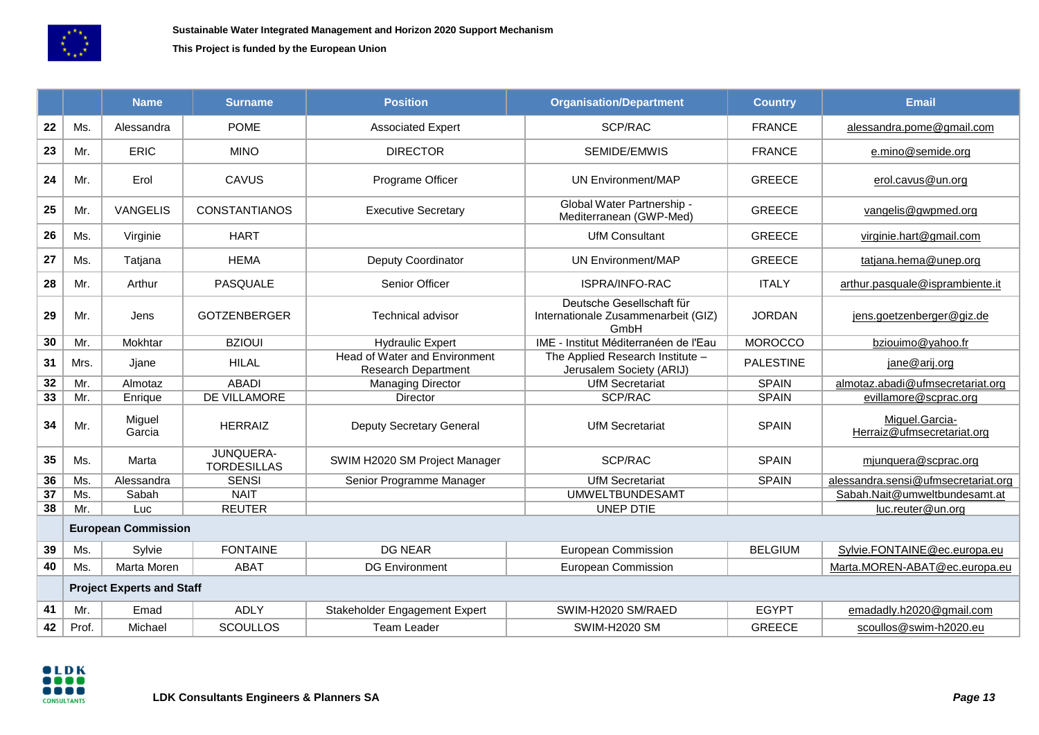

**This Project is funded by the European Union**

|                 |                                  | <b>Name</b>      | <b>Surname</b>                  | <b>Position</b>                                             | <b>Organisation/Department</b>                                           | <b>Country</b>   | <b>Email</b>                                 |
|-----------------|----------------------------------|------------------|---------------------------------|-------------------------------------------------------------|--------------------------------------------------------------------------|------------------|----------------------------------------------|
| 22              | Ms.                              | Alessandra       | <b>POME</b>                     | <b>Associated Expert</b>                                    | SCP/RAC                                                                  | <b>FRANCE</b>    | alessandra.pome@gmail.com                    |
| 23              | Mr.                              | <b>ERIC</b>      | <b>MINO</b>                     | <b>DIRECTOR</b>                                             | SEMIDE/EMWIS                                                             | <b>FRANCE</b>    | e.mino@semide.org                            |
| 24              | Mr.                              | Erol             | CAVUS                           | Programe Officer                                            | <b>UN Environment/MAP</b>                                                | <b>GREECE</b>    | erol.cavus@un.org                            |
| 25              | Mr.                              | <b>VANGELIS</b>  | <b>CONSTANTIANOS</b>            | <b>Executive Secretary</b>                                  | Global Water Partnership -<br>Mediterranean (GWP-Med)                    | <b>GREECE</b>    | vangelis@gwpmed.org                          |
| 26              | Ms.                              | Virginie         | <b>HART</b>                     |                                                             | <b>UfM Consultant</b>                                                    | <b>GREECE</b>    | virginie.hart@gmail.com                      |
| 27              | Ms.                              | Tatjana          | <b>HEMA</b>                     | Deputy Coordinator                                          | <b>UN Environment/MAP</b>                                                | <b>GREECE</b>    | tatjana.hema@unep.org                        |
| 28              | Mr.                              | Arthur           | PASQUALE                        | Senior Officer                                              | ISPRA/INFO-RAC                                                           | <b>ITALY</b>     | arthur.pasquale@isprambiente.it              |
| 29              | Mr.                              | Jens             | <b>GOTZENBERGER</b>             | <b>Technical advisor</b>                                    | Deutsche Gesellschaft für<br>Internationale Zusammenarbeit (GIZ)<br>GmbH | <b>JORDAN</b>    | jens.goetzenberger@giz.de                    |
| 30              | Mr.                              | Mokhtar          | <b>BZIOUI</b>                   | <b>Hydraulic Expert</b>                                     | IME - Institut Méditerranéen de l'Eau                                    | <b>MOROCCO</b>   | bziouimo@yahoo.fr                            |
| 31              | Mrs.                             | Jjane            | <b>HILAL</b>                    | Head of Water and Environment<br><b>Research Department</b> | The Applied Research Institute -<br>Jerusalem Society (ARIJ)             | <b>PALESTINE</b> | jane@arij.org                                |
| 32              | Mr.                              | Almotaz          | <b>ABADI</b>                    | <b>Managing Director</b>                                    | <b>UfM Secretariat</b>                                                   | <b>SPAIN</b>     | almotaz.abadi@ufmsecretariat.org             |
| $\overline{33}$ | Mr.                              | Enrique          | DE VILLAMORE                    | Director                                                    | SCP/RAC                                                                  | <b>SPAIN</b>     | evillamore@scprac.org                        |
| 34              | Mr.                              | Miguel<br>Garcia | <b>HERRAIZ</b>                  | <b>Deputy Secretary General</b>                             | <b>UfM Secretariat</b>                                                   | <b>SPAIN</b>     | Miguel.Garcia-<br>Herraiz@ufmsecretariat.org |
| 35              | Ms.                              | Marta            | JUNQUERA-<br><b>TORDESILLAS</b> | SWIM H2020 SM Project Manager                               | SCP/RAC                                                                  | <b>SPAIN</b>     | mjunquera@scprac.org                         |
| 36              | Ms.                              | Alessandra       | <b>SENSI</b>                    | Senior Programme Manager                                    | <b>UfM Secretariat</b>                                                   | <b>SPAIN</b>     | alessandra.sensi@ufmsecretariat.org          |
| $\overline{37}$ | Ms.                              | Sabah            | <b>NAIT</b>                     |                                                             | <b>UMWELTBUNDESAMT</b>                                                   |                  | Sabah.Nait@umweltbundesamt.at                |
| 38              | Mr.                              | Luc              | <b>REUTER</b>                   |                                                             | <b>UNEP DTIE</b>                                                         |                  | luc.reuter@un.org                            |
|                 | <b>European Commission</b>       |                  |                                 |                                                             |                                                                          |                  |                                              |
| 39              | Ms.                              | Sylvie           | <b>FONTAINE</b>                 | <b>DG NEAR</b>                                              | European Commission                                                      | <b>BELGIUM</b>   | Sylvie.FONTAINE@ec.europa.eu                 |
| 40              | Ms.                              | Marta Moren      | ABAT                            | <b>DG Environment</b>                                       | European Commission                                                      |                  | Marta.MOREN-ABAT@ec.europa.eu                |
|                 | <b>Project Experts and Staff</b> |                  |                                 |                                                             |                                                                          |                  |                                              |
| 41              | Mr.                              | Emad             | <b>ADLY</b>                     | Stakeholder Engagement Expert                               | SWIM-H2020 SM/RAED                                                       | <b>EGYPT</b>     | emadadly.h2020@gmail.com                     |
| 42              | Prof.                            | Michael          | <b>SCOULLOS</b>                 | <b>Team Leader</b>                                          | <b>SWIM-H2020 SM</b>                                                     | <b>GREECE</b>    | scoullos@swim-h2020.eu                       |

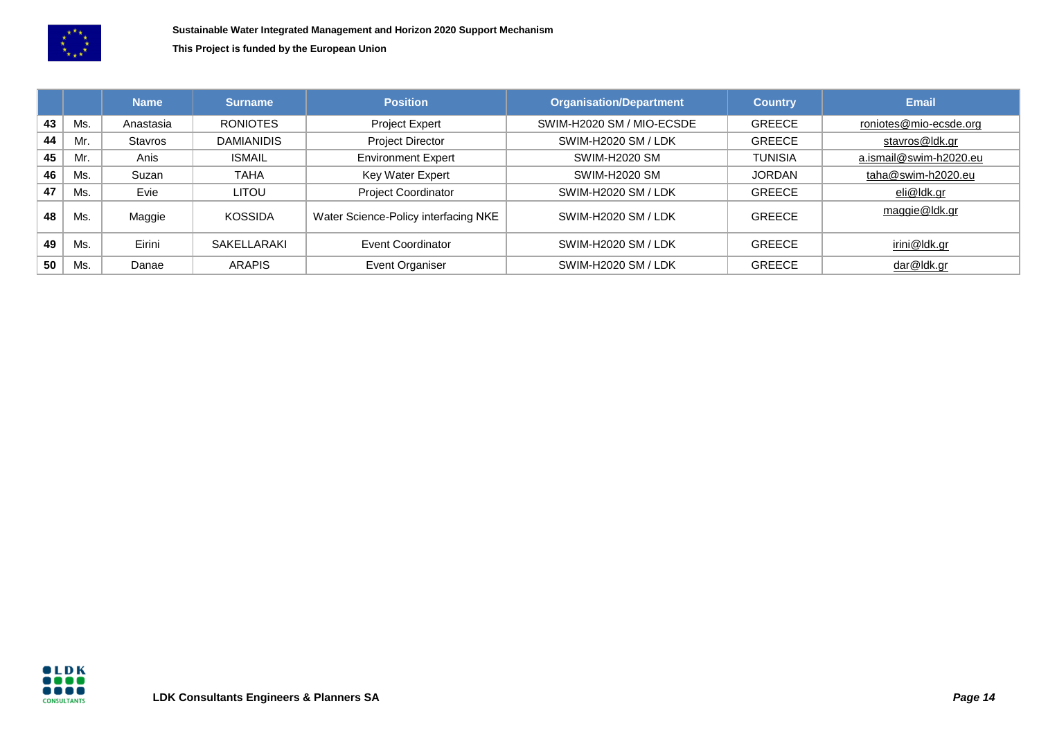

**This Project is funded by the European Union**

|    |     | <b>Name</b> | <b>Surname</b>     | <b>Position</b>                      | <b>Organisation/Department</b> | <b>Country</b> | <b>Email</b>           |
|----|-----|-------------|--------------------|--------------------------------------|--------------------------------|----------------|------------------------|
| 43 | Ms. | Anastasia   | <b>RONIOTES</b>    | <b>Project Expert</b>                | SWIM-H2020 SM / MIO-ECSDE      | <b>GREECE</b>  | roniotes@mio-ecsde.org |
| 44 | Mr. | Stavros     | <b>DAMIANIDIS</b>  | <b>Project Director</b>              | SWIM-H2020 SM / LDK            | <b>GREECE</b>  | stavros@ldk.gr         |
| 45 | Mr. | Anis        | <b>ISMAIL</b>      | <b>Environment Expert</b>            | <b>SWIM-H2020 SM</b>           | <b>TUNISIA</b> | a.ismail@swim-h2020.eu |
| 46 | Ms. | Suzan       | <b>TAHA</b>        | Key Water Expert                     | <b>SWIM-H2020 SM</b>           | <b>JORDAN</b>  | taha@swim-h2020.eu     |
| 47 | Ms. | Evie        | <b>LITOU</b>       | <b>Project Coordinator</b>           | SWIM-H2020 SM / LDK            | <b>GREECE</b>  | eli@ldk.gr             |
| 48 | Ms. | Maggie      | <b>KOSSIDA</b>     | Water Science-Policy interfacing NKE | SWIM-H2020 SM / LDK            | <b>GREECE</b>  | maggie@ldk.gr          |
| 49 | Ms. | Eirini      | <b>SAKELLARAKI</b> | Event Coordinator                    | SWIM-H2020 SM / LDK            | <b>GREECE</b>  | irini@ldk.gr           |
| 50 | Ms. | Danae       | <b>ARAPIS</b>      | Event Organiser                      | SWIM-H2020 SM / LDK            | <b>GREECE</b>  | dar@ldk.gr             |

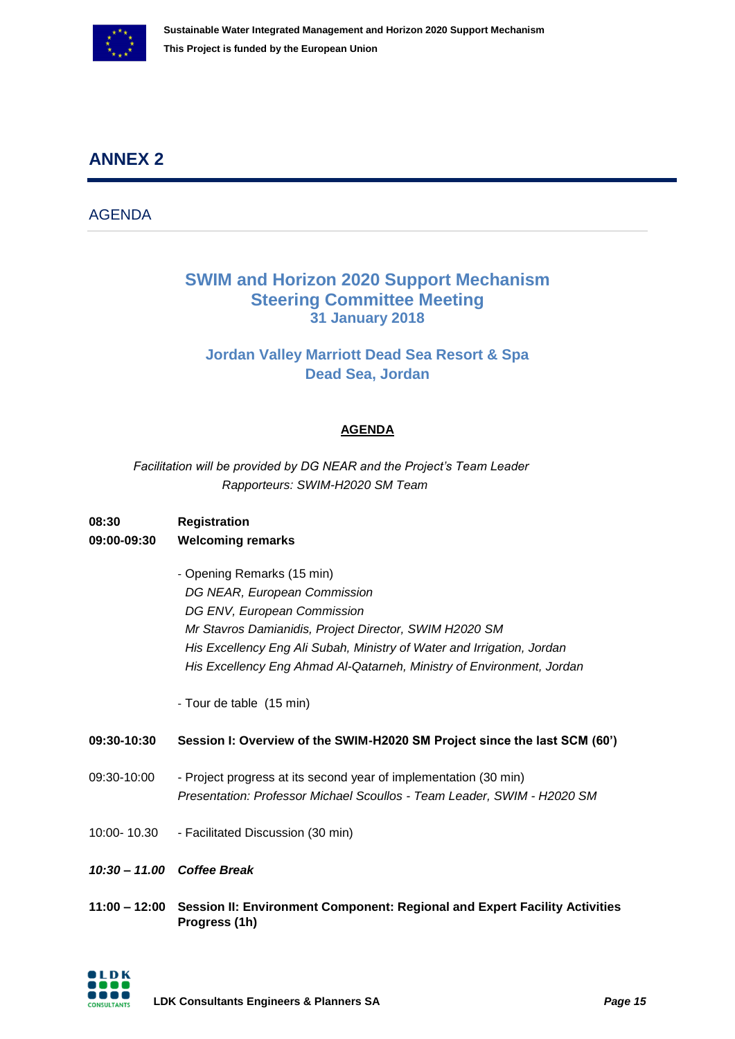

## <span id="page-14-0"></span>**ANNEX 2**

AGENDA

### **SWIM and Horizon 2020 Support Mechanism Steering Committee Meeting 31 January 2018**

### **Jordan Valley Marriott Dead Sea Resort & Spa Dead Sea, Jordan**

### **AGENDA**

*Facilitation will be provided by DG NEAR and the Project's Team Leader Rapporteurs: SWIM-H2020 SM Team*

## **08:30 Registration**

### **09:00-09:30 Welcoming remarks**

- Opening Remarks (15 min) *DG NEAR, European Commission DG ENV, European Commission Mr Stavros Damianidis, Project Director, SWIM H2020 SM His Excellency Eng Ali Subah, Ministry of Water and Irrigation, Jordan His Excellency Eng Ahmad Al-Qatarneh, Ministry of Environment, Jordan*

- Tour de table (15 min)

#### **09:30-10:30 Session I: Overview of the SWIM-H2020 SM Project since the last SCM (60')**

- 09:30-10:00 Project progress at its second year of implementation (30 min) *Presentation: Professor Michael Scoullos - Team Leader, SWIM - H2020 SM*
- 10:00- 10.30 Facilitated Discussion (30 min)
- *10:30 – 11.00 Coffee Break*
- **11:00 – 12:00 Session II: Environment Component: Regional and Expert Facility Activities Progress (1h)**